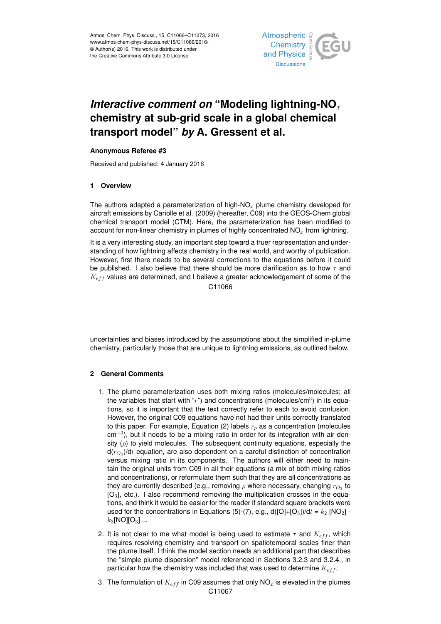

# *Interactive comment on* "Modeling lightning-NO<sub>x</sub> **chemistry at sub-grid scale in a global chemical transport model"** *by* **A. Gressent et al.**

## **Anonymous Referee #3**

Received and published: 4 January 2016

## **1 Overview**

The authors adapted a parameterization of high- $NO<sub>x</sub>$  plume chemistry developed for aircraft emissions by Cariolle et al. (2009) (hereafter, C09) into the GEOS-Chem global chemical transport model (CTM). Here, the parameterization has been modified to account for non-linear chemistry in plumes of highly concentrated  $NO<sub>x</sub>$  from lightning.

It is a very interesting study, an important step toward a truer representation and understanding of how lightning affects chemistry in the real world, and worthy of publication. However, first there needs to be several corrections to the equations before it could be published. I also believe that there should be more clarification as to how  $\tau$  and  $K_{eff}$  values are determined, and I believe a greater acknowledgement of some of the C11066

uncertainties and biases introduced by the assumptions about the simplified in-plume chemistry, particularly those that are unique to lightning emissions, as outlined below.

### **2 General Comments**

- 1. The plume parameterization uses both mixing ratios (molecules/molecules; all the variables that start with " $r$ ") and concentrations (molecules/cm<sup>3</sup>) in its equations, so it is important that the text correctly refer to each to avoid confusion. However, the original C09 equations have not had their units correctly translated to this paper. For example, Equation (2) labels  $r<sub>n</sub>$  as a concentration (molecules cm<sup>-3</sup>), but it needs to be a mixing ratio in order for its integration with air density  $(\rho)$  to yield molecules. The subsequent continuity equations, especially the d( $r_{O_3}$ )/d $t$  equation, are also dependent on a careful distinction of concentration versus mixing ratio in its components. The authors will either need to maintain the original units from C09 in all their equations (a mix of both mixing ratios and concentrations), or reformulate them such that they are all concentrations as they are currently described (e.g., removing  $\rho$  where necessary, changing  $r_{O_3}$  to  $[O_3]$ , etc.). I also recommend removing the multiplication crosses in the equations, and think it would be easier for the reader if standard square brackets were used for the concentrations in Equations (5)-(7), e.g.,  $d([O]+[O<sub>3</sub>])/dt = k<sub>2</sub> [NO<sub>2</sub>]$  $k_3$ [NO][O<sub>3</sub>] ...
- 2. It is not clear to me what model is being used to estimate  $\tau$  and  $K_{eff}$ , which requires resolving chemistry and transport on spatiotemporal scales finer than the plume itself. I think the model section needs an additional part that describes the "simple plume dispersion" model referenced in Sections 3.2.3 and 3.2.4., in particular how the chemistry was included that was used to determine  $K_{eff}$ .
- 3. The formulation of  $K_{eff}$  in C09 assumes that only NO<sub>x</sub> is elevated in the plumes C11067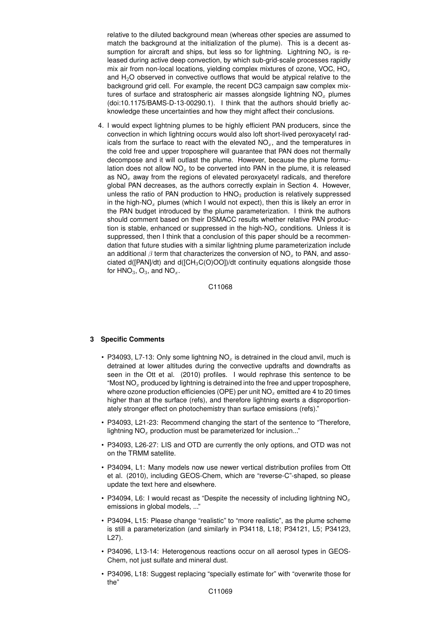relative to the diluted background mean (whereas other species are assumed to match the background at the initialization of the plume). This is a decent assumption for aircraft and ships, but less so for lightning. Lightning  $NO<sub>x</sub>$  is released during active deep convection, by which sub-grid-scale processes rapidly mix air from non-local locations, yielding complex mixtures of ozone, VOC,  $HO_x$ and  $H<sub>2</sub>O$  observed in convective outflows that would be atypical relative to the background grid cell. For example, the recent DC3 campaign saw complex mixtures of surface and stratospheric air masses alongside lightning  $NO<sub>x</sub>$  plumes (doi:10.1175/BAMS-D-13-00290.1). I think that the authors should briefly acknowledge these uncertainties and how they might affect their conclusions.

4. I would expect lightning plumes to be highly efficient PAN producers, since the convection in which lightning occurs would also loft short-lived peroxyacetyl radicals from the surface to react with the elevated  $NO<sub>x</sub>$ , and the temperatures in the cold free and upper troposphere will guarantee that PAN does not thermally decompose and it will outlast the plume. However, because the plume formulation does not allow  $NO<sub>x</sub>$  to be converted into PAN in the plume, it is released as  $NO<sub>x</sub>$  away from the regions of elevated peroxyacetyl radicals, and therefore global PAN decreases, as the authors correctly explain in Section 4. However, unless the ratio of PAN production to  $HNO<sub>3</sub>$  production is relatively suppressed in the high-NO<sub>x</sub> plumes (which I would not expect), then this is likely an error in the PAN budget introduced by the plume parameterization. I think the authors should comment based on their DSMACC results whether relative PAN production is stable, enhanced or suppressed in the high-NO<sub>x</sub> conditions. Unless it is suppressed, then I think that a conclusion of this paper should be a recommendation that future studies with a similar lightning plume parameterization include an additional  $\beta$  term that characterizes the conversion of NO<sub>x</sub> to PAN, and associated  $d(IPAN/dt)$  and  $d(ICH_3C(O)OOI)/dt$  continuity equations alongside those for  $HNO<sub>3</sub>$ ,  $O<sub>3</sub>$ , and  $NO<sub>x</sub>$ .

C11068

### **3 Specific Comments**

- P34093, L7-13: Only some lightning  $NO<sub>x</sub>$  is detrained in the cloud anvil, much is detrained at lower altitudes during the convective updrafts and downdrafts as seen in the Ott et al. (2010) profiles. I would rephrase this sentence to be "Most  $NO_x$  produced by lightning is detrained into the free and upper troposphere, where ozone production efficiencies (OPE) per unit  $NO<sub>x</sub>$  emitted are 4 to 20 times higher than at the surface (refs), and therefore lightning exerts a disproportionately stronger effect on photochemistry than surface emissions (refs)."
- P34093, L21-23: Recommend changing the start of the sentence to "Therefore, lightning  $NO<sub>x</sub>$  production must be parameterized for inclusion..."
- P34093, L26-27: LIS and OTD are currently the only options, and OTD was not on the TRMM satellite.
- P34094, L1: Many models now use newer vertical distribution profiles from Ott et al. (2010), including GEOS-Chem, which are "reverse-C"-shaped, so please update the text here and elsewhere.
- P34094, L6: I would recast as "Despite the necessity of including lightning  $NO<sub>x</sub>$ emissions in global models, ..."
- P34094, L15: Please change "realistic" to "more realistic", as the plume scheme is still a parameterization (and similarly in P34118, L18; P34121, L5; P34123, L27).
- P34096, L13-14: Heterogenous reactions occur on all aerosol types in GEOS-Chem, not just sulfate and mineral dust.
- P34096, L18: Suggest replacing "specially estimate for" with "overwrite those for the"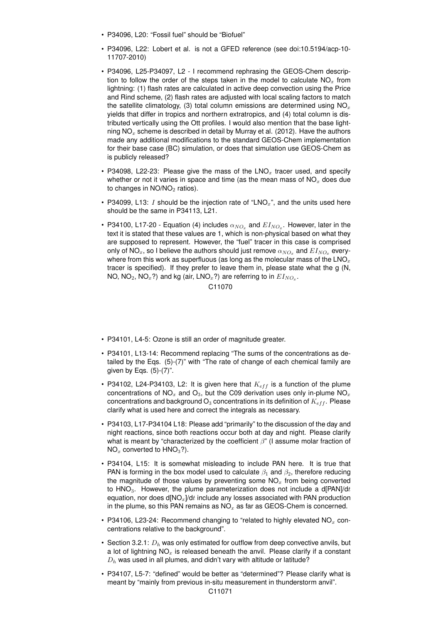- P34096, L20: "Fossil fuel" should be "Biofuel"
- P34096, L22: Lobert et al. is not a GFED reference (see doi:10.5194/acp-10- 11707-2010)
- P34096, L25-P34097, L2 I recommend rephrasing the GEOS-Chem description to follow the order of the steps taken in the model to calculate  $NO<sub>x</sub>$  from lightning: (1) flash rates are calculated in active deep convection using the Price and Rind scheme, (2) flash rates are adjusted with local scaling factors to match the satellite climatology, (3) total column emissions are determined using  $NO<sub>x</sub>$ yields that differ in tropics and northern extratropics, and (4) total column is distributed vertically using the Ott profiles. I would also mention that the base lightning  $NO<sub>x</sub>$  scheme is described in detail by Murray et al. (2012). Have the authors made any additional modifications to the standard GEOS-Chem implementation for their base case (BC) simulation, or does that simulation use GEOS-Chem as is publicly released?
- P34098, L22-23: Please give the mass of the  $LNO<sub>x</sub>$  tracer used, and specify whether or not it varies in space and time (as the mean mass of  $NO<sub>x</sub>$  does due to changes in  $NO/NO<sub>2</sub>$  ratios).
- P34099, L13: I should be the injection rate of "LNO $_x$ ", and the units used here should be the same in P34113, L21.
- P34100, L17-20 Equation (4) includes  $\alpha_{NO_x}$  and  $E I_{NO_x}$ . However, later in the text it is stated that these values are 1, which is non-physical based on what they are supposed to represent. However, the "fuel" tracer in this case is comprised only of NO<sub>x</sub>, so I believe the authors should just remove  $\alpha_{NO_x}$  and  $EI_{NO_x}$  everywhere from this work as superfluous (as long as the molecular mass of the  $LNO<sub>x</sub>$ tracer is specified). If they prefer to leave them in, please state what the g (N, NO, NO $_2$ , NO $_x$ ?) and kg (air, LNO $_x$ ?) are referring to in  $EI_{NO_x}.$

### C11070

- P34101, L4-5: Ozone is still an order of magnitude greater.
- P34101, L13-14: Recommend replacing "The sums of the concentrations as detailed by the Eqs. (5)-(7)" with "The rate of change of each chemical family are given by Eqs.  $(5)-(7)$ ".
- P34102, L24-P34103, L2: It is given here that  $K_{eff}$  is a function of the plume concentrations of  $NO_x$  and  $O_3$ , but the C09 derivation uses only in-plume  $NO_x$ concentrations and background  $O_3$  concentrations in its definition of  $K_{eff}$ . Please clarify what is used here and correct the integrals as necessary.
- P34103, L17-P34104 L18: Please add "primarily" to the discussion of the day and night reactions, since both reactions occur both at day and night. Please clarify what is meant by "characterized by the coefficient  $\beta$ " (I assume molar fraction of  $NO<sub>x</sub>$  converted to  $HNO<sub>3</sub>$ ?).
- P34104, L15: It is somewhat misleading to include PAN here. It is true that PAN is forming in the box model used to calculate  $\beta_1$  and  $\beta_2$ , therefore reducing the magnitude of those values by preventing some  $NO<sub>x</sub>$  from being converted to HNO<sub>3</sub>. However, the plume parameterization does not include a d[PAN]/dt equation, nor does  $d[NO_x]/dt$  include any losses associated with PAN production in the plume, so this PAN remains as  $NO<sub>x</sub>$  as far as GEOS-Chem is concerned.
- P34106, L23-24: Recommend changing to "related to highly elevated  $NO_x$  concentrations relative to the background".
- Section 3.2.1:  $D_h$  was only estimated for outflow from deep convective anvils, but a lot of lightning  $NO<sub>x</sub>$  is released beneath the anvil. Please clarify if a constant  $D_h$  was used in all plumes, and didn't vary with altitude or latitude?
- P34107, L5-7: "defined" would be better as "determined"? Please clarify what is meant by "mainly from previous in-situ measurement in thunderstorm anvil".